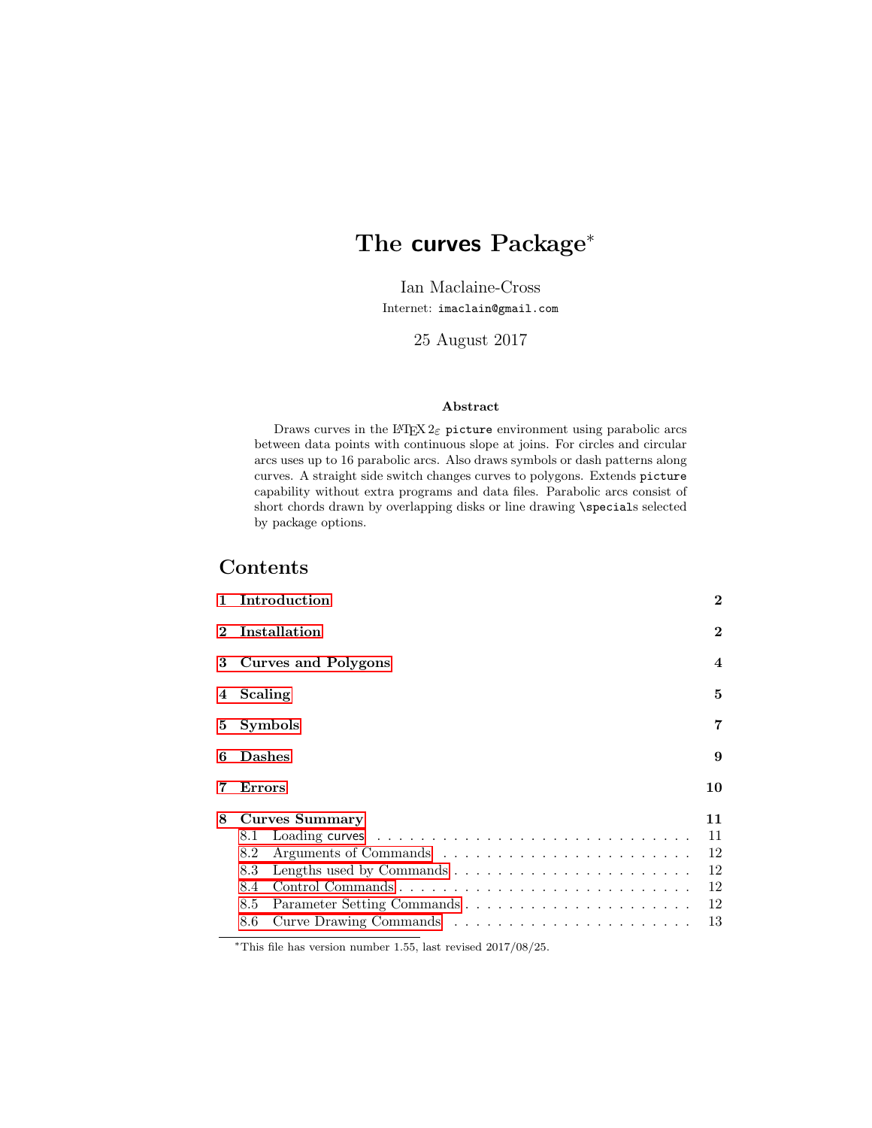# The curves Package<sup>\*</sup>

Ian Maclaine-Cross Internet: imaclain@gmail.com

25 August 2017

#### Abstract

Draws curves in the LATEX  $2\varepsilon$  picture environment using parabolic arcs between data points with continuous slope at joins. For circles and circular arcs uses up to 16 parabolic arcs. Also draws symbols or dash patterns along curves. A straight side switch changes curves to polygons. Extends picture capability without extra programs and data files. Parabolic arcs consist of short chords drawn by overlapping disks or line drawing \specials selected by package options.

# Contents

| 1            | Introduction             | $\bf{2}$ |
|--------------|--------------------------|----------|
| $\mathbf{2}$ | Installation<br>$\bf{2}$ |          |
| 3            | Curves and Polygons      |          |
| 4            | Scaling                  |          |
| 5            | <b>Symbols</b>           |          |
| 6            | <b>Dashes</b>            |          |
|              | Errors                   | 10       |
| 8            | <b>Curves Summary</b>    | 11       |
|              | 8.1                      | 11       |
|              | 8.2                      | 12       |
|              | 8.3                      | 12       |
|              | 8.4                      | 12       |
|              | 8.5                      | 12       |
|              | 8.6                      | 13       |

<sup>∗</sup>This file has version number 1.55, last revised 2017/08/25.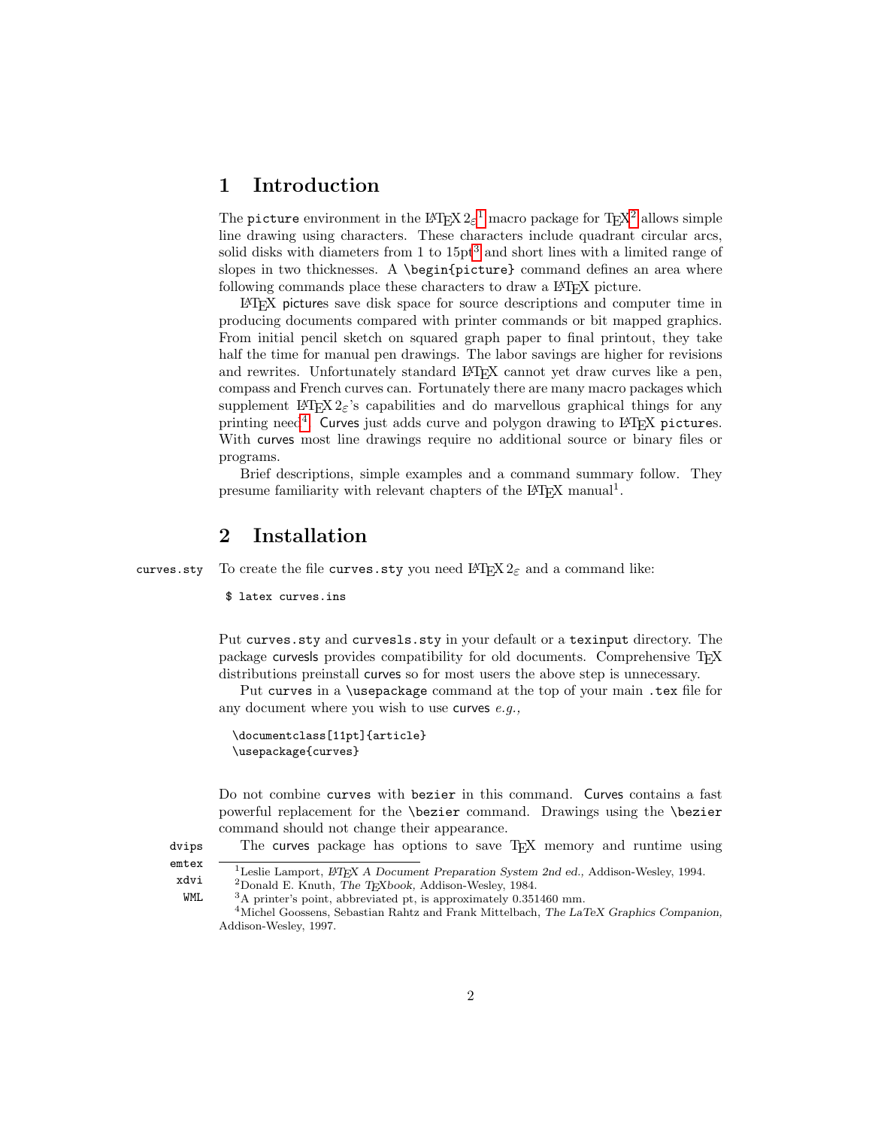### <span id="page-1-0"></span>1 Introduction

The picture environment in the  $L^2 \to \infty^1$  $L^2 \to \infty^1$  macro package for T<sub>E</sub>X<sup>[2](#page-1-3)</sup> allows simple line drawing using characters. These characters include quadrant circular arcs, solid disks with diameters from 1 to  $15pt<sup>3</sup>$  $15pt<sup>3</sup>$  $15pt<sup>3</sup>$  and short lines with a limited range of slopes in two thicknesses. A \begin{picture} command defines an area where following commands place these characters to draw a LAT<sub>EX</sub> picture.

LATEX pictures save disk space for source descriptions and computer time in producing documents compared with printer commands or bit mapped graphics. From initial pencil sketch on squared graph paper to final printout, they take half the time for manual pen drawings. The labor savings are higher for revisions and rewrites. Unfortunately standard LAT<sub>EX</sub> cannot yet draw curves like a pen, compass and French curves can. Fortunately there are many macro packages which supplement LAT<sub>EX</sub>  $2 \epsilon$ 's capabilities and do marvellous graphical things for any printing need<sup>[4](#page-1-5)</sup>. Curves just adds curve and polygon drawing to L<sup>AT</sup>EX pictures. With curves most line drawings require no additional source or binary files or programs.

Brief descriptions, simple examples and a command summary follow. They presume familiarity with relevant chapters of the L<sup>AT</sup>EX manual<sup>1</sup>.

### <span id="page-1-1"></span>2 Installation

curves.sty To create the file curves.sty you need  $L^2 \to \mathbb{R}^2$  and a command like:

\$ latex curves.ins

Put curves.sty and curvesls.sty in your default or a texinput directory. The package curvesls provides compatibility for old documents. Comprehensive TFX distributions preinstall curves so for most users the above step is unnecessary.

Put curves in a \usepackage command at the top of your main .tex file for any document where you wish to use curves  $e.q.,$ 

```
\documentclass[11pt]{article}
\usepackage{curves}
```
Do not combine curves with bezier in this command. Curves contains a fast powerful replacement for the \bezier command. Drawings using the \bezier command should not change their appearance.

dvips The curves package has options to save TEX memory and runtime using

emtex xdvi  $1$ Leslie Lamport,  $\emph{L}$ TEX A Document Preparation System 2nd ed., Addison-Wesley, 1994.  $^2$  Donald E. Knuth, The TEXbook, Addison-Wesley, 1984.

WML <sup>3</sup>A printer's point, abbreviated pt, is approximately 0.351460 mm.

<span id="page-1-5"></span><span id="page-1-4"></span><span id="page-1-3"></span><span id="page-1-2"></span><sup>4</sup>Michel Goossens, Sebastian Rahtz and Frank Mittelbach, The LaTeX Graphics Companion, Addison-Wesley, 1997.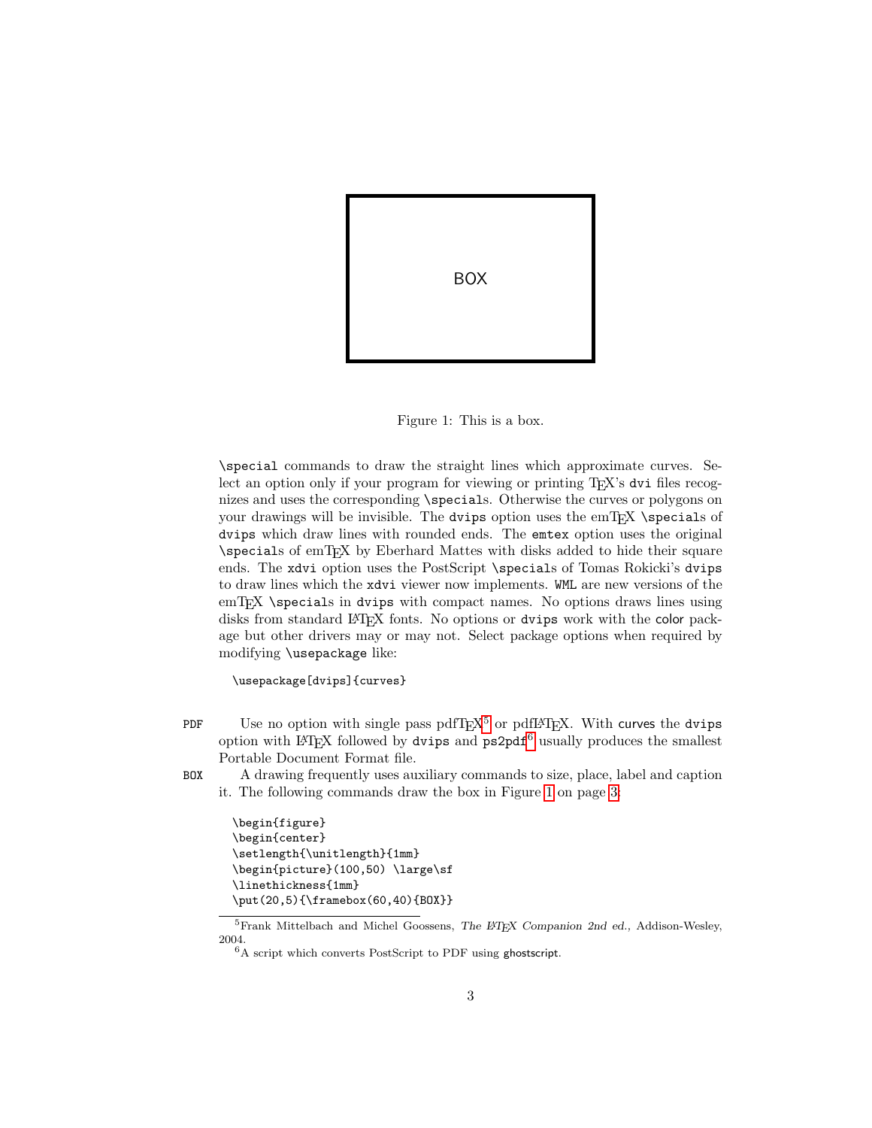

Figure 1: This is a box.

<span id="page-2-2"></span>\special commands to draw the straight lines which approximate curves. Select an option only if your program for viewing or printing T<sub>E</sub>X's dvi files recognizes and uses the corresponding \specials. Otherwise the curves or polygons on your drawings will be invisible. The dvips option uses the emTEX \specials of dvips which draw lines with rounded ends. The emtex option uses the original \specials of emTEX by Eberhard Mattes with disks added to hide their square ends. The xdvi option uses the PostScript \specials of Tomas Rokicki's dvips to draw lines which the xdvi viewer now implements. WML are new versions of the emTEX \specials in dvips with compact names. No options draws lines using disks from standard LAT<sub>EX</sub> fonts. No options or dvips work with the color package but other drivers may or may not. Select package options when required by modifying \usepackage like:

\usepackage[dvips]{curves}

- PDF Use no option with single pass  $pdfT<sub>E</sub>X<sup>5</sup>$  $pdfT<sub>E</sub>X<sup>5</sup>$  $pdfT<sub>E</sub>X<sup>5</sup>$  or  $pdfI<sub>F</sub>X$ . With curves the dvips option with LAT<sub>EX</sub> followed by dvips and  $p s 2p df<sup>6</sup>$  $p s 2p df<sup>6</sup>$  $p s 2p df<sup>6</sup>$  usually produces the smallest Portable Document Format file.
- BOX A drawing frequently uses auxiliary commands to size, place, label and caption it. The following commands draw the box in Figure [1](#page-2-2) on page [3:](#page-2-2)

```
\begin{figure}
\begin{center}
\setlength{\unitlength}{1mm}
\begin{picture}(100,50) \large\sf
\linethickness{1mm}
\put(20,5){\framebox(60,40){BOX}}
```
<span id="page-2-0"></span><sup>&</sup>lt;sup>5</sup>Frank Mittelbach and Michel Goossens, The LATEX Companion 2nd ed., Addison-Wesley, 2004.

<span id="page-2-1"></span><sup>6</sup>A script which converts PostScript to PDF using ghostscript.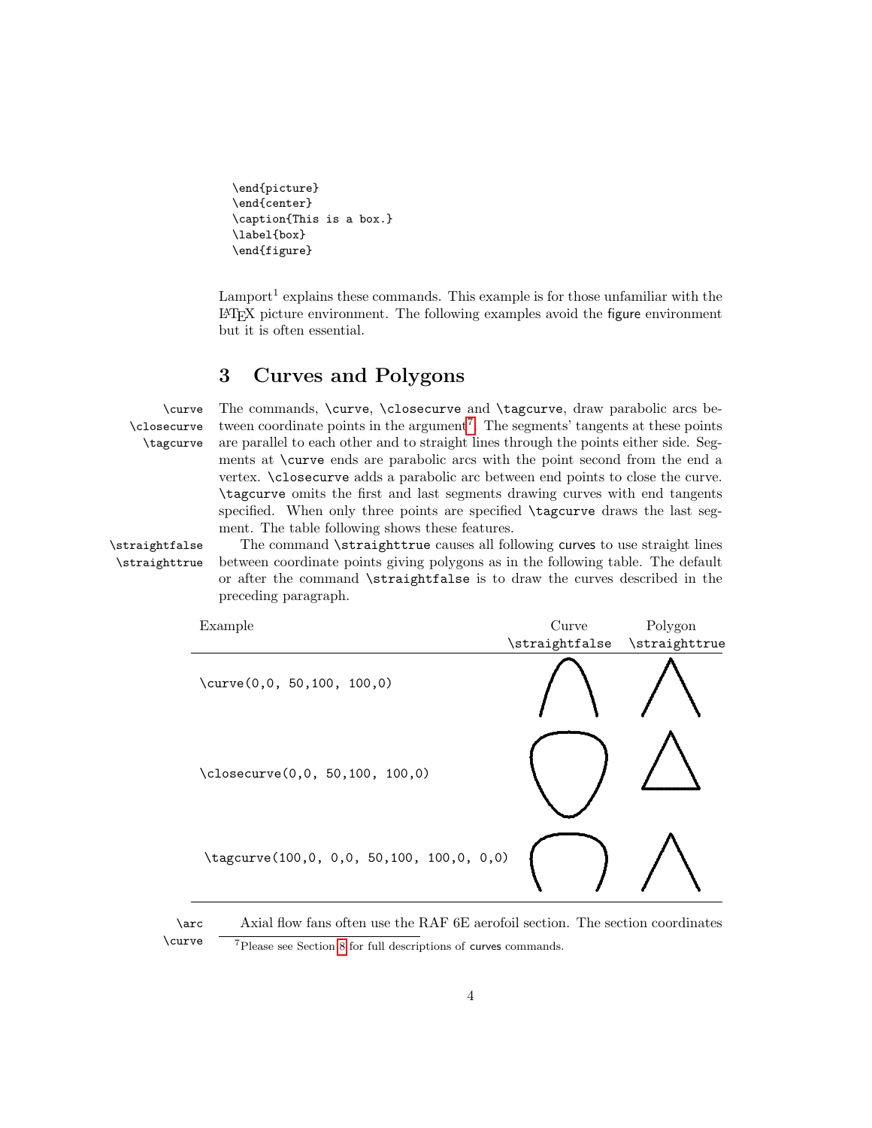```
\end{picture}
\end{center}
\caption{This is a box.}
\label{box}
\end{figure}
```
Lamport<sup>1</sup> explains these commands. This example is for those unfamiliar with the LATEX picture environment. The following examples avoid the figure environment but it is often essential.

### <span id="page-3-0"></span>3 Curves and Polygons

\closecurve \tagcurve

\curve The commands, \curve, \closecurve and \tagcurve, draw parabolic arcs be- tween coordinate points in the argument<sup>[7](#page-3-1)</sup>. The segments' tangents at these points are parallel to each other and to straight lines through the points either side. Segments at \curve ends are parabolic arcs with the point second from the end a vertex. \closecurve adds a parabolic arc between end points to close the curve. \tagcurve omits the first and last segments drawing curves with end tangents specified. When only three points are specified  $\tag{12.1}$  tagcurve draws the last segment. The table following shows these features.

\straightfalse The command \straighttrue causes all following curves to use straight lines \straighttrue between coordinate points giving polygons as in the following table. The default or after the command \straightfalse is to draw the curves described in the preceding paragraph.

| Example                                   | Curve                        | Polygon |
|-------------------------------------------|------------------------------|---------|
|                                           | \straightfalse \straighttrue |         |
| $\curve(0,0, 50, 100, 100, 0)$            |                              |         |
| \closecurve(0,0, 50,100, 100,0)           |                              |         |
| \tagcurve(100,0, 0,0, 50,100, 100,0, 0,0) |                              |         |

<span id="page-3-1"></span>\arc Axial flow fans often use the RAF 6E aerofoil section. The section coordinates

<sup>\</sup>curve <sup>7</sup>Please see Section [8](#page-10-0) for full descriptions of curves commands.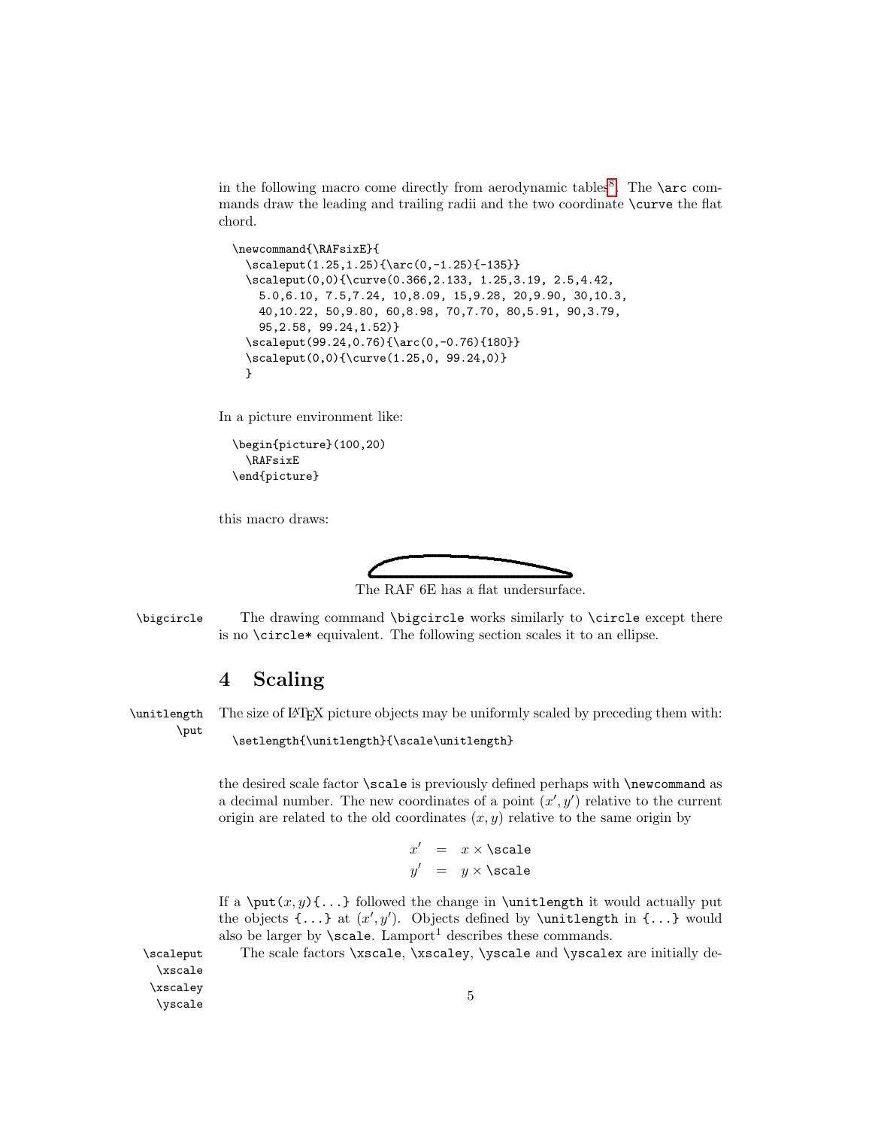in the following macro come directly from aerodynamic tables<sup>[8](#page-5-0)</sup>. The **\arc** commands draw the leading and trailing radii and the two coordinate \curve the flat chord.

```
\newcommand{\RAFsixE}{
  \scaleput(1.25,1.25){\arc(0,-1.25){-135}}
 \scaleput(0,0){\curve(0.366,2.133, 1.25,3.19, 2.5,4.42,
   5.0,6.10, 7.5,7.24, 10,8.09, 15,9.28, 20,9.90, 30,10.3,
   40,10.22, 50,9.80, 60,8.98, 70,7.70, 80,5.91, 90,3.79,
    95,2.58, 99.24,1.52)}
 \scaleput(99.24,0.76){\arc(0,-0.76){180}}
 \scaleput(0,0){\curve(1.25,0, 99.24,0)}
 }
```
In a picture environment like:

```
\begin{picture}(100,20)
  \RAFsixE
\end{picture}
```
this macro draws:



The RAF 6E has a flat undersurface.

\bigcircle The drawing command \bigcircle works similarly to \circle except there is no \circle\* equivalent. The following section scales it to an ellipse.

## <span id="page-4-0"></span>4 Scaling

\unitlength The size of LATEX picture objects may be uniformly scaled by preceding them with: \put

```
\setlength{\unitlength}{\scale\unitlength}
```
the desired scale factor \scale is previously defined perhaps with \newcommand as a decimal number. The new coordinates of a point  $(x', y')$  relative to the current origin are related to the old coordinates  $(x, y)$  relative to the same origin by

```
x' = x \times \text{scale}y' = y \times \text{scale}
```
If a \put(x, y){...} followed the change in \unitlength it would actually put the objects  $\{\ldots\}$  at  $(x', y')$ . Objects defined by \unitlength in  $\{\ldots\}$  would also be larger by  $\searrow$  cale. Lamport<sup>1</sup> describes these commands.

\scaleput The scale factors \xscale, \xscaley, \yscale and \yscalex are initially de-

\xscale \xscaley  $\Delta$  5  $\Delta$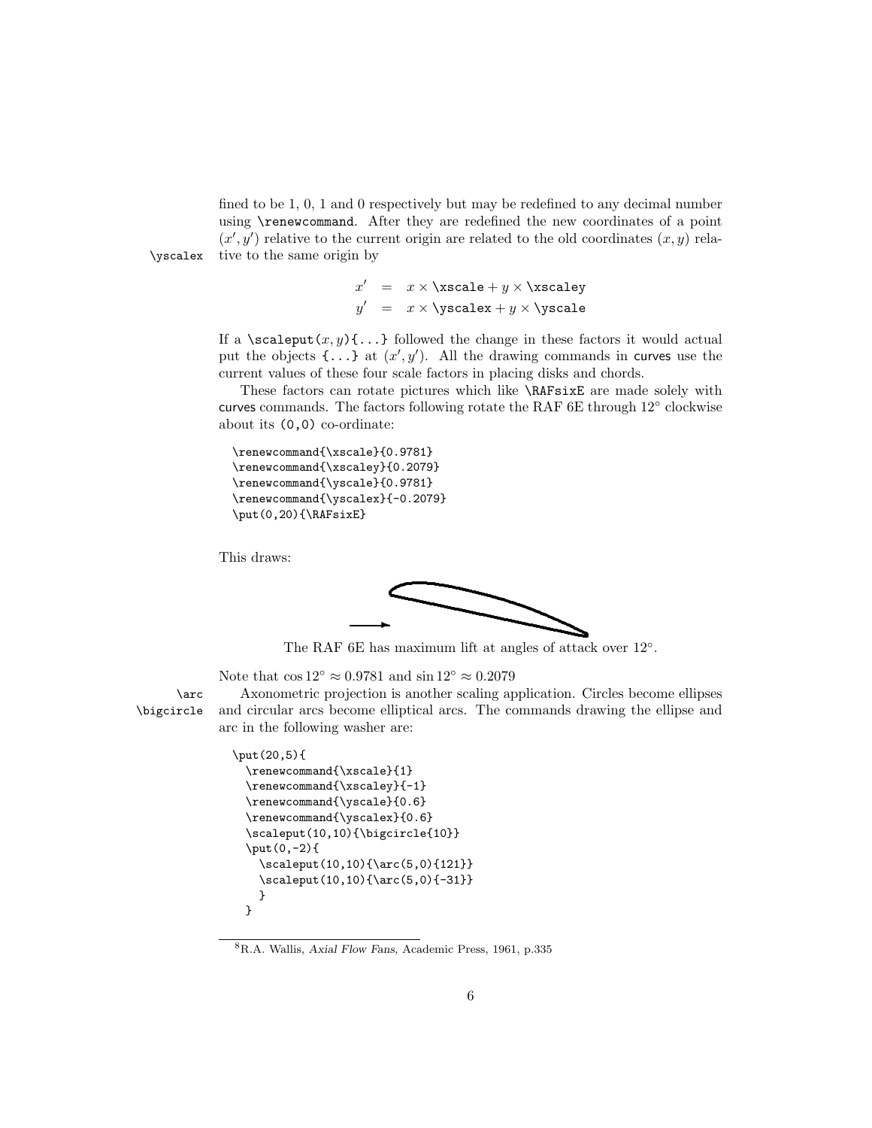fined to be 1, 0, 1 and 0 respectively but may be redefined to any decimal number using \renewcommand. After they are redefined the new coordinates of a point  $(x', y')$  relative to the current origin are related to the old coordinates  $(x, y)$  relative to the same origin by

\yscalex

 $x'$  =  $x \times \xcc{ale} + y \times \xsc{aley}$  $y'$  =  $x \times \yspace$ scalex +  $y \times \yspace$ scale

If a \scaleput(x,y){...} followed the change in these factors it would actual put the objects  $\{\ldots\}$  at  $(x', y')$ . All the drawing commands in curves use the current values of these four scale factors in placing disks and chords.

These factors can rotate pictures which like \RAFsixE are made solely with curves commands. The factors following rotate the RAF 6E through 12° clockwise about its (0,0) co-ordinate:

```
\renewcommand{\xscale}{0.9781}
\renewcommand{\xscaley}{0.2079}
\renewcommand{\yscale}{0.9781}
\renewcommand{\yscalex}{-0.2079}
\put(0,20){\RAFsixE}
```
This draws:



The RAF 6E has maximum lift at angles of attack over 12°.

Note that  $\cos 12° \approx 0.9781$  and  $\sin 12° \approx 0.2079$ 

\arc Axonometric projection is another scaling application. Circles become ellipses \bigcircle and circular arcs become elliptical arcs. The commands drawing the ellipse and arc in the following washer are:

```
\put(20,5){
  \renewcommand{\xscale}{1}
  \renewcommand{\xscaley}{-1}
  \renewcommand{\yscale}{0.6}
  \renewcommand{\yscalex}{0.6}
  \scaleput(10,10){\bigcircle{10}}
  \put(0,-2){
    \scaleput(10,10){\arc(5,0){121}}
    \scaleput(10,10){\arc(5,0){-31}}
    }
 }
```
<span id="page-5-0"></span><sup>8</sup>R.A. Wallis, Axial Flow Fans, Academic Press, 1961, p.335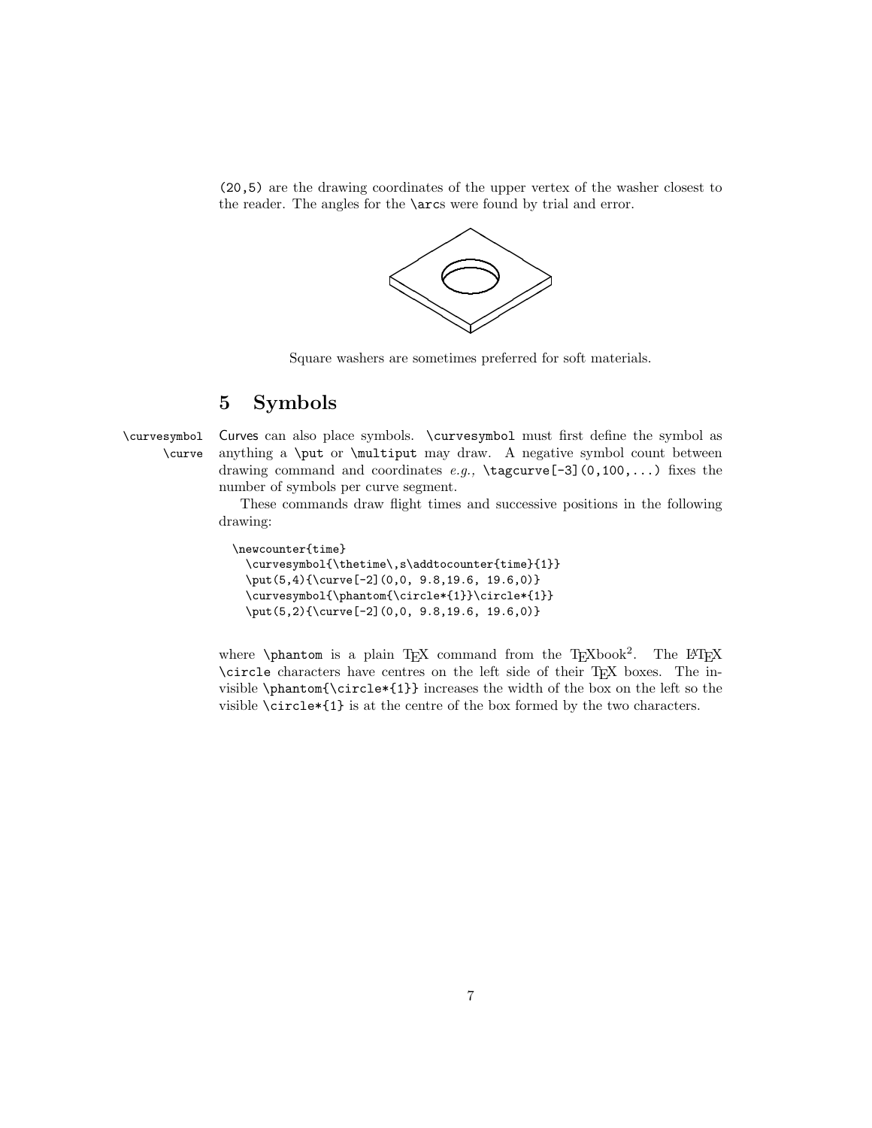(20,5) are the drawing coordinates of the upper vertex of the washer closest to the reader. The angles for the \arcs were found by trial and error.



Square washers are sometimes preferred for soft materials.

# <span id="page-6-0"></span>5 Symbols

\curvesymbol Curves can also place symbols. \curvesymbol must first define the symbol as \curve anything a \put or \multiput may draw. A negative symbol count between drawing command and coordinates  $e.g., \text{degree}(-3](0,100,...)$  fixes the number of symbols per curve segment.

> These commands draw flight times and successive positions in the following drawing:

```
\newcounter{time}
  \curvesymbol{\thetime\,s\addtocounter{time}{1}}
  \put(5,4){\curve[-2](0,0, 9.8,19.6, 19.6,0)}
 \curvesymbol{\phantom{\circle*{1}}\circle*{1}}
 \put(5,2){\curve[-2](0,0, 9.8,19.6, 19.6,0)}
```
where  $\phi$  is a plain TEX command from the TEXbook<sup>2</sup>. The LATEX \circle characters have centres on the left side of their TEX boxes. The invisible \phantom{\circle\*{1}} increases the width of the box on the left so the visible \circle\*{1} is at the centre of the box formed by the two characters.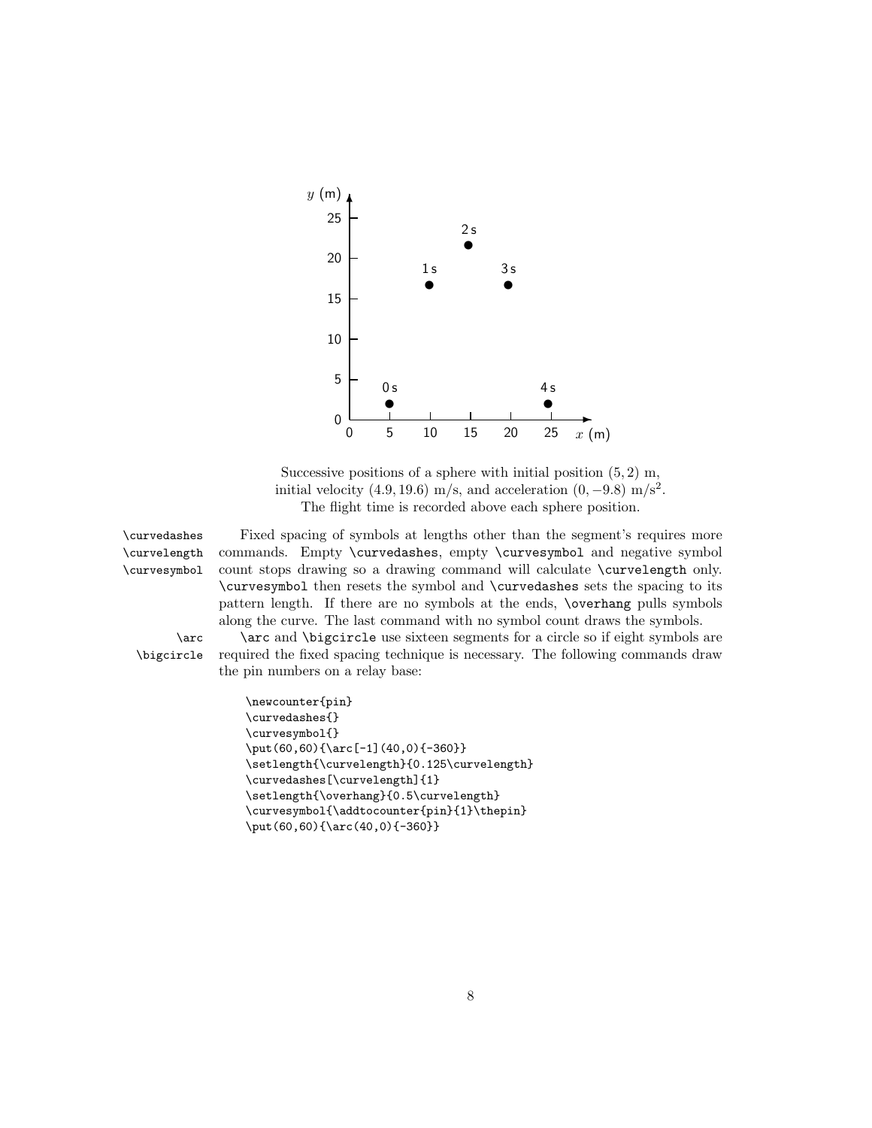

Successive positions of a sphere with initial position  $(5, 2)$  m, initial velocity  $(4.9, 19.6)$  m/s, and acceleration  $(0, -9.8)$  m/s<sup>2</sup>. The flight time is recorded above each sphere position.

\curvelength \curvesymbol

\curvedashes Fixed spacing of symbols at lengths other than the segment's requires more commands. Empty \curvedashes, empty \curvesymbol and negative symbol count stops drawing so a drawing command will calculate \curvelength only. \curvesymbol then resets the symbol and \curvedashes sets the spacing to its pattern length. If there are no symbols at the ends, \overhang pulls symbols along the curve. The last command with no symbol count draws the symbols.

\arc \arc and \bigcircle use sixteen segments for a circle so if eight symbols are \bigcircle required the fixed spacing technique is necessary. The following commands draw the pin numbers on a relay base:

```
\newcounter{pin}
\curvedashes{}
\curvesymbol{}
\put(60,60){\arc[-1](40,0){-360}}
\setlength{\curvelength}{0.125\curvelength}
\curvedashes[\curvelength]{1}
\setlength{\overhang}{0.5\curvelength}
\curvesymbol{\addtocounter{pin}{1}\thepin}
\put(60,60){\arc(40,0){-360}}
```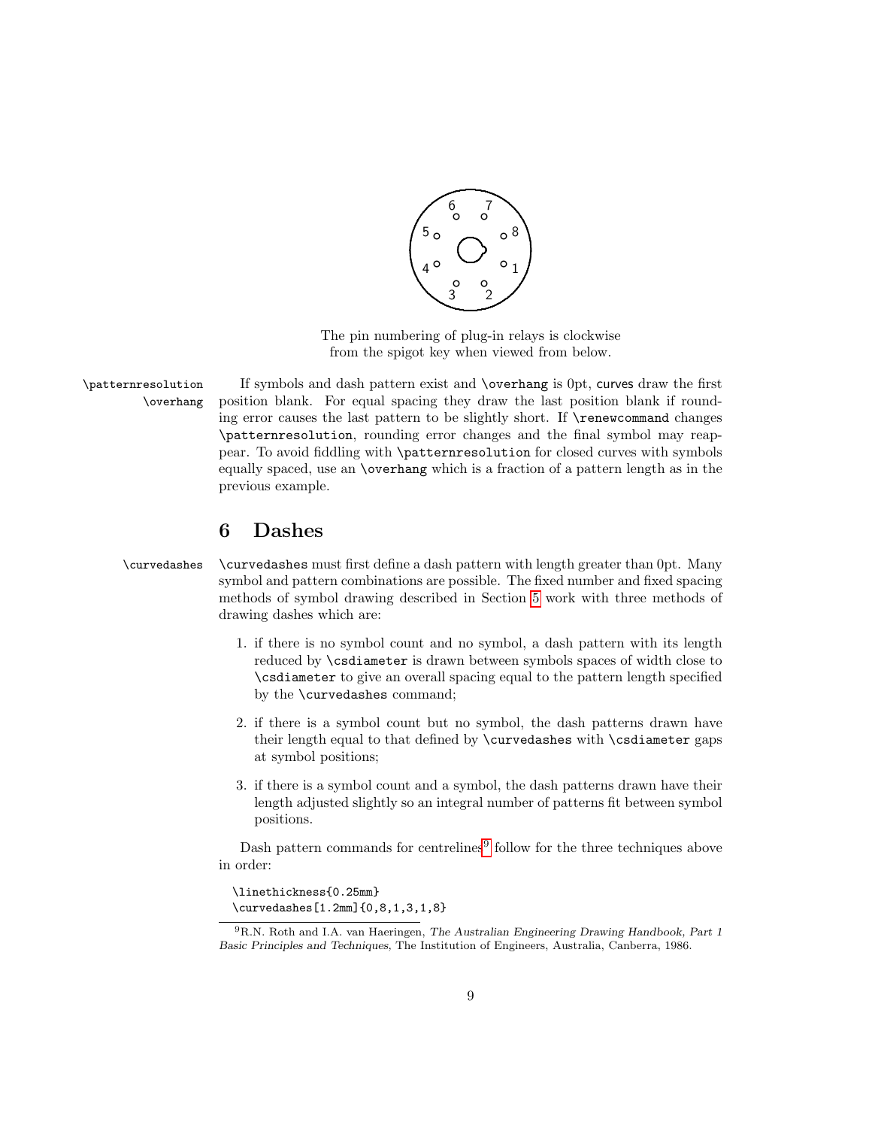

The pin numbering of plug-in relays is clockwise from the spigot key when viewed from below.

\patternresolution If symbols and dash pattern exist and \overhang is 0pt, curves draw the first \overhang position blank. For equal spacing they draw the last position blank if rounding error causes the last pattern to be slightly short. If \renewcommand changes \patternresolution, rounding error changes and the final symbol may reappear. To avoid fiddling with \patternresolution for closed curves with symbols equally spaced, use an \overhang which is a fraction of a pattern length as in the previous example.

# <span id="page-8-0"></span>6 Dashes

#### \curvedashes \curvedashes must first define a dash pattern with length greater than 0pt. Many symbol and pattern combinations are possible. The fixed number and fixed spacing methods of symbol drawing described in Section [5](#page-6-0) work with three methods of drawing dashes which are:

- 1. if there is no symbol count and no symbol, a dash pattern with its length reduced by \csdiameter is drawn between symbols spaces of width close to \csdiameter to give an overall spacing equal to the pattern length specified by the \curvedashes command;
- 2. if there is a symbol count but no symbol, the dash patterns drawn have their length equal to that defined by \curvedashes with \csdiameter gaps at symbol positions;
- 3. if there is a symbol count and a symbol, the dash patterns drawn have their length adjusted slightly so an integral number of patterns fit between symbol positions.

Dash pattern commands for centrelines<sup>[9](#page-8-1)</sup> follow for the three techniques above in order:

\linethickness{0.25mm} \curvedashes[1.2mm]{0,8,1,3,1,8}

<span id="page-8-1"></span><sup>9</sup>R.N. Roth and I.A. van Haeringen, The Australian Engineering Drawing Handbook, Part 1 Basic Principles and Techniques, The Institution of Engineers, Australia, Canberra, 1986.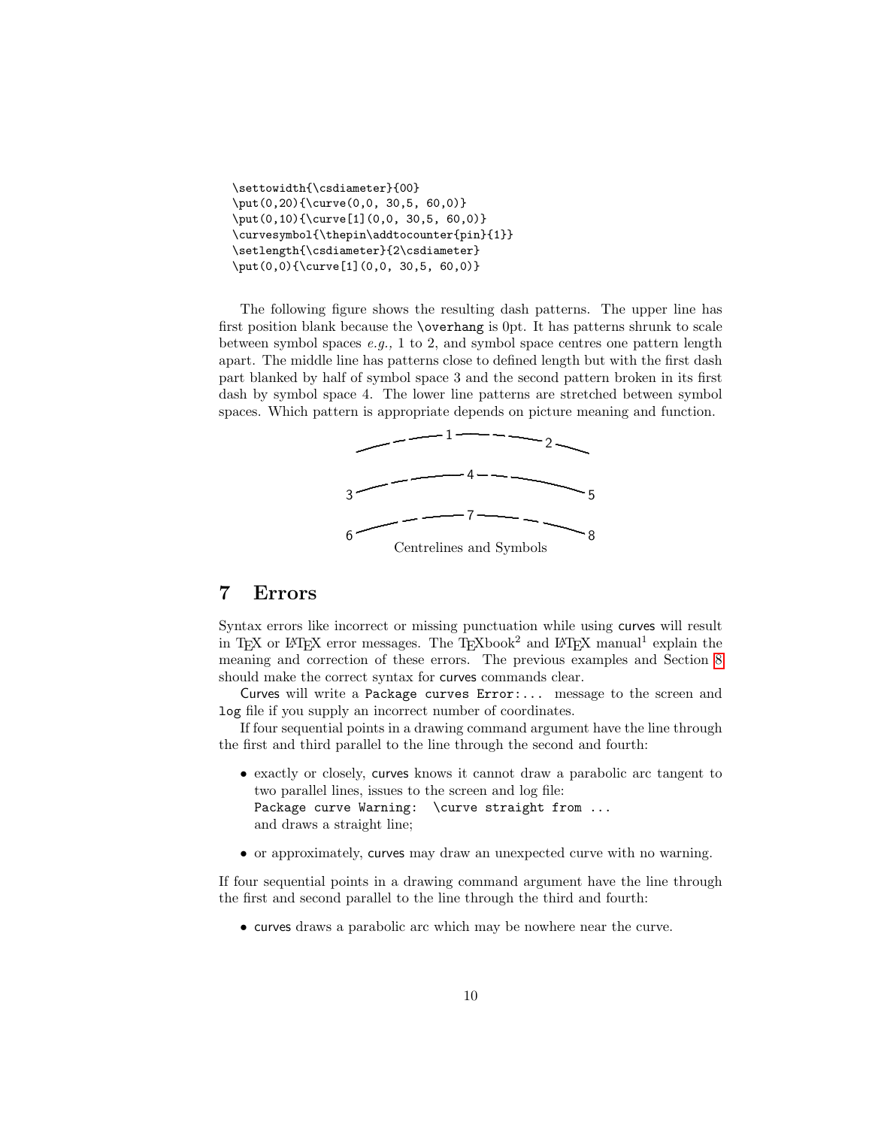```
\settowidth{\csdiameter}{00}
\put(0,20){\curve(0,0, 30,5, 60,0)}
\put(0,10){\curve[1](0,0, 30,5, 60,0)}
\curvesymbol{\thepin\addtocounter{pin}{1}}
\setlength{\csdiameter}{2\csdiameter}
\put(0,0){\curve[1](0,0, 30,5, 60,0)}
```
The following figure shows the resulting dash patterns. The upper line has first position blank because the \overhang is 0pt. It has patterns shrunk to scale between symbol spaces  $e.g., 1$  to 2, and symbol space centres one pattern length apart. The middle line has patterns close to defined length but with the first dash part blanked by half of symbol space 3 and the second pattern broken in its first dash by symbol space 4. The lower line patterns are stretched between symbol spaces. Which pattern is appropriate depends on picture meaning and function.



### <span id="page-9-0"></span>7 Errors

Syntax errors like incorrect or missing punctuation while using curves will result in TEX or IATEX error messages. The TEXbook<sup>2</sup> and IATEX manual<sup>1</sup> explain the meaning and correction of these errors. The previous examples and Section [8](#page-10-0) should make the correct syntax for curves commands clear.

Curves will write a Package curves Error:... message to the screen and log file if you supply an incorrect number of coordinates.

If four sequential points in a drawing command argument have the line through the first and third parallel to the line through the second and fourth:

- exactly or closely, curves knows it cannot draw a parabolic arc tangent to two parallel lines, issues to the screen and log file: Package curve Warning: \curve straight from ... and draws a straight line;
- or approximately, curves may draw an unexpected curve with no warning.

If four sequential points in a drawing command argument have the line through the first and second parallel to the line through the third and fourth:

• curves draws a parabolic arc which may be nowhere near the curve.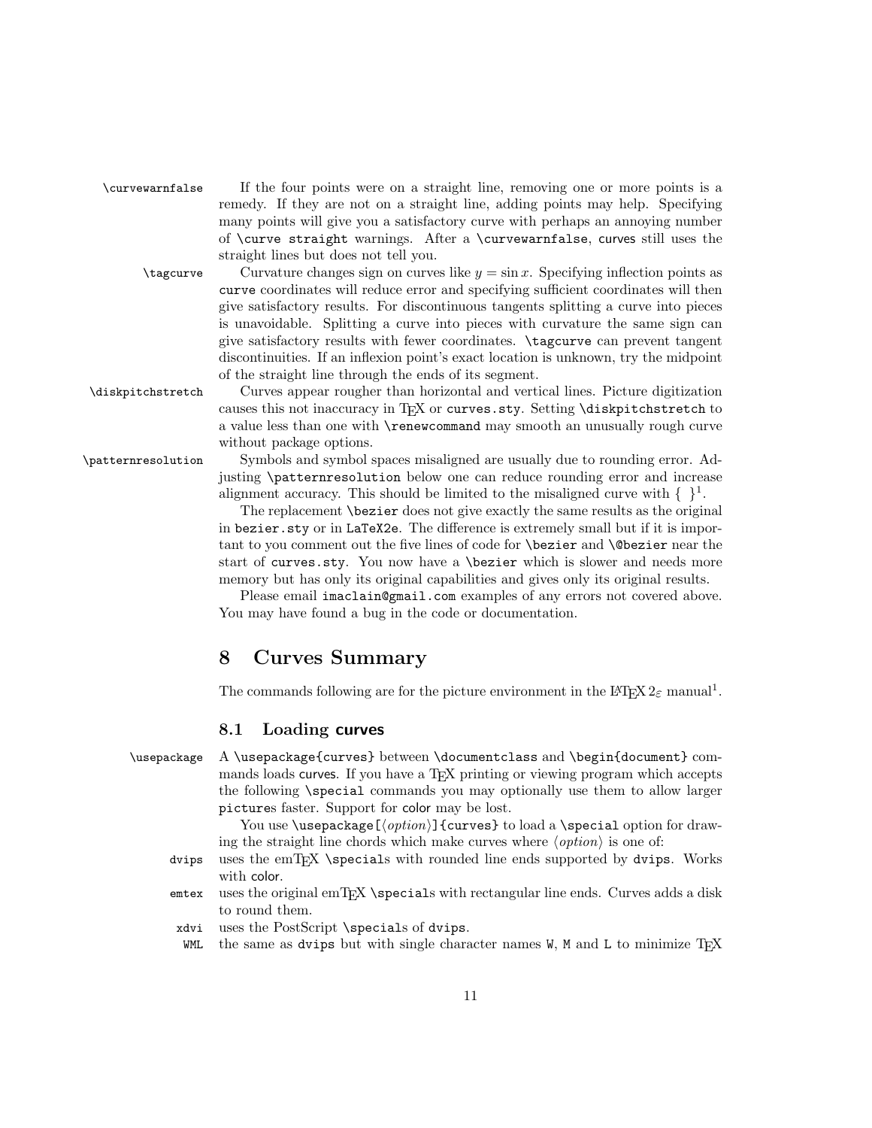| \curvewarnfalse | If the four points were on a straight line, removing one or more points is a   |
|-----------------|--------------------------------------------------------------------------------|
|                 | remedy. If they are not on a straight line, adding points may help. Specifying |
|                 | many points will give you a satisfactory curve with perhaps an annoying number |
|                 | of \curve straight warnings. After a \curvewarnfalse, curves still uses the    |
|                 | straight lines but does not tell you.                                          |

 $\tag{10} \tag{10} \tag{10} \tag{10} \tag{10}$  Curvature changes sign on curves like  $y = \sin x$ . Specifying inflection points as curve coordinates will reduce error and specifying sufficient coordinates will then give satisfactory results. For discontinuous tangents splitting a curve into pieces is unavoidable. Splitting a curve into pieces with curvature the same sign can give satisfactory results with fewer coordinates. \tagcurve can prevent tangent discontinuities. If an inflexion point's exact location is unknown, try the midpoint of the straight line through the ends of its segment.

\diskpitchstretch Curves appear rougher than horizontal and vertical lines. Picture digitization causes this not inaccuracy in T<sub>EX</sub> or curves.sty. Setting \diskpitchstretch to a value less than one with \renewcommand may smooth an unusually rough curve without package options.

\patternresolution Symbols and symbol spaces misaligned are usually due to rounding error. Adjusting \patternresolution below one can reduce rounding error and increase alignment accuracy. This should be limited to the misaligned curve with  $\{-\}^1$ .

> The replacement \bezier does not give exactly the same results as the original in bezier.sty or in LaTeX2e. The difference is extremely small but if it is important to you comment out the five lines of code for **\bezier** and **\@bezier** near the start of curves.sty. You now have a \bezier which is slower and needs more memory but has only its original capabilities and gives only its original results.

> Please email imaclain@gmail.com examples of any errors not covered above. You may have found a bug in the code or documentation.

## <span id="page-10-0"></span>8 Curves Summary

The commands following are for the picture environment in the  $\mathrm{LATEX}\,2_\varepsilon$  manual<sup>1</sup>.

#### <span id="page-10-1"></span>8.1 Loading curves

| \usepackage A \usepackage{curves} between \documentclass and \begin{document} com-           |
|----------------------------------------------------------------------------------------------|
| mands loads curves. If you have a T <sub>F</sub> X printing or viewing program which accepts |
| the following \special commands you may optionally use them to allow larger                  |
| pictures faster. Support for color may be lost.                                              |

You use \usepackage  ${option}$  {curves} to load a \special option for drawing the straight line chords which make curves where  $\langle option \rangle$  is one of:

- dvips uses the emT<sub>E</sub>X \specials with rounded line ends supported by dvips. Works with color.
- emtex uses the original emT<sub>E</sub>X \specials with rectangular line ends. Curves adds a disk to round them.
- xdvi uses the PostScript \specials of dvips.
- WML the same as dvips but with single character names  $W$ , M and L to minimize T<sub>EX</sub>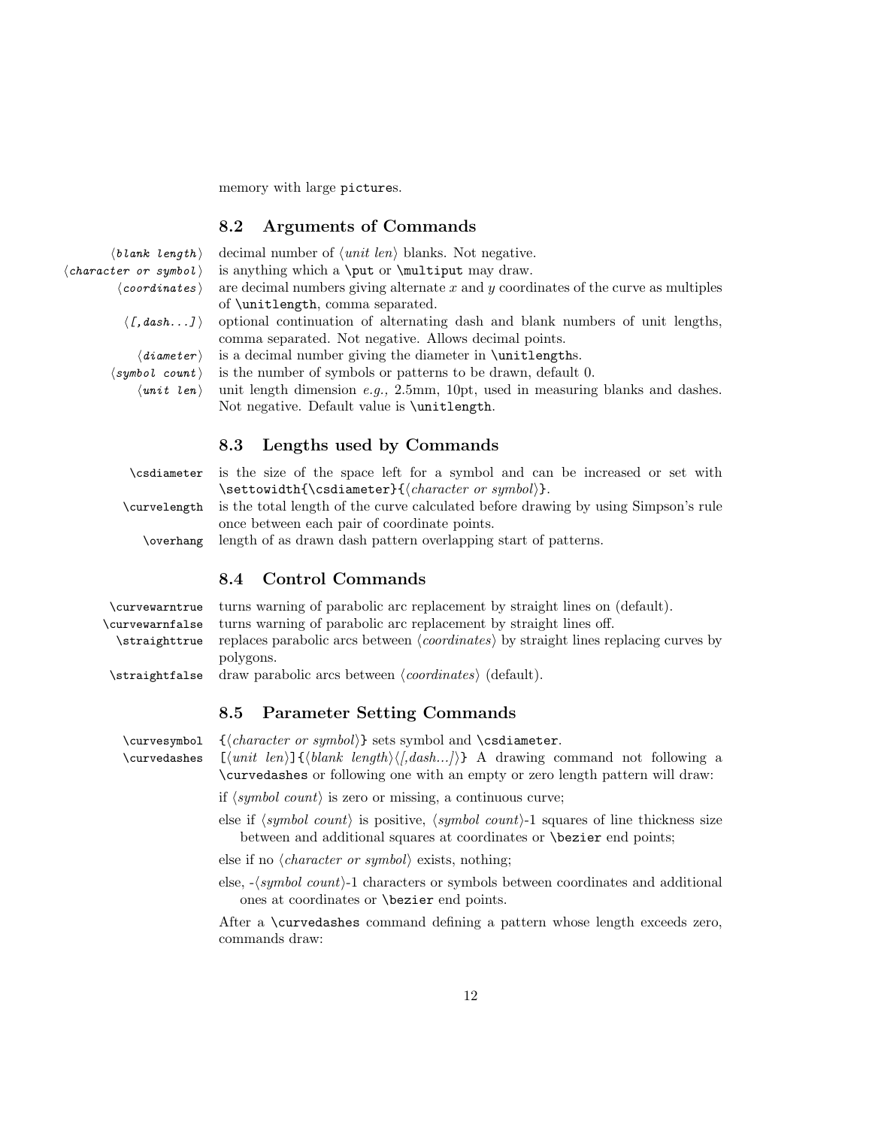memory with large pictures.

#### <span id="page-11-0"></span>8.2 Arguments of Commands

| $\langle \textit{blank length} \rangle$ decimal number of $\langle \textit{unit len} \rangle$ blanks. Not negative. |
|---------------------------------------------------------------------------------------------------------------------|
| $\langle character \space or \space symbol \rangle$ is anything which a <b>\put</b> or <b>\multiput</b> may draw.   |
| $\langle coordinates \rangle$ are decimal numbers giving alternate x and y coordi                                   |

 $\rightarrow$  are decimal numbers giving alternate x and y coordinates of the curve as multiples

- $\langle f, dash...J \rangle$  optional continuation of alternating dash and blank numbers of unit lengths, comma separated. Not negative. Allows decimal points.
	- $\langle diameter \rangle$  is a decimal number giving the diameter in \unitlengths.
- $\langle \textit{symbol count} \rangle$  is the number of symbols or patterns to be drawn, default 0.

of \unitlength, comma separated.

 $\langle$ unit length dimension e.g., 2.5mm, 10pt, used in measuring blanks and dashes. Not negative. Default value is \unitlength.

#### <span id="page-11-1"></span>8.3 Lengths used by Commands

|                | \csdiameter is the size of the space left for a symbol and can be increased or set with |
|----------------|-----------------------------------------------------------------------------------------|
| \curvelength   | is the total length of the curve calculated before drawing by using Simpson's rule      |
|                | once between each pair of coordinate points.                                            |
| \overhang      | length of as drawn dash pattern overlapping start of patterns.                          |
|                | Control Commands<br>8.4                                                                 |
| \curvewarntrue | turns warning of parabolic arc replacement by straight lines on (default).              |

<span id="page-11-2"></span>

| $\frac{1}{2}$                                                                                                             |
|---------------------------------------------------------------------------------------------------------------------------|
| \curvewarnfalse turns warning of parabolic arc replacement by straight lines off.                                         |
| $\text{straighttrue}$ replaces parabolic arcs between $\langle coordinates \rangle$ by straight lines replacing curves by |
| polygons.                                                                                                                 |
| \straightfalse draw parabolic arcs between $\langle coordinates \rangle$ (default).                                       |

#### <span id="page-11-3"></span>8.5 Parameter Setting Commands

 $\curvesymbo1 \quad {\char'136} {\char'136} \quad {\char'136} \quad {\char'136} \quad {\char'136} \quad {\char'136} \quad {\char'136} \quad {\char'136} \quad {\char'136} \quad {\char'136} \quad {\char'136} \quad {\char'136} \quad {\char'136} \quad {\char'136} \quad {\char'136} \quad {\char'136} \quad {\char'136} \quad {\char'136} \quad {\char'136} \quad {\char'136} \quad {\char'136} \quad {\char'136} \quad {\char'136} \quad {\char'136}$ \curvedashes  $[\{unit \ len\}]\{\{blank \ length\}\{,dash...\}\}$  A drawing command not following a \curvedashes or following one with an empty or zero length pattern will draw:

if  $\langle symbol\ count\rangle$  is zero or missing, a continuous curve;

else if  $\langle symbol\ count \rangle$  is positive,  $\langle symbol\ count \rangle$ -1 squares of line thickness size between and additional squares at coordinates or \bezier end points;

else if no  $\langle character\ or\ symbol \rangle$  exists, nothing;

else,  $-\langle symbol\ count\rangle-1$  characters or symbols between coordinates and additional ones at coordinates or \bezier end points.

After a \curvedashes command defining a pattern whose length exceeds zero, commands draw: